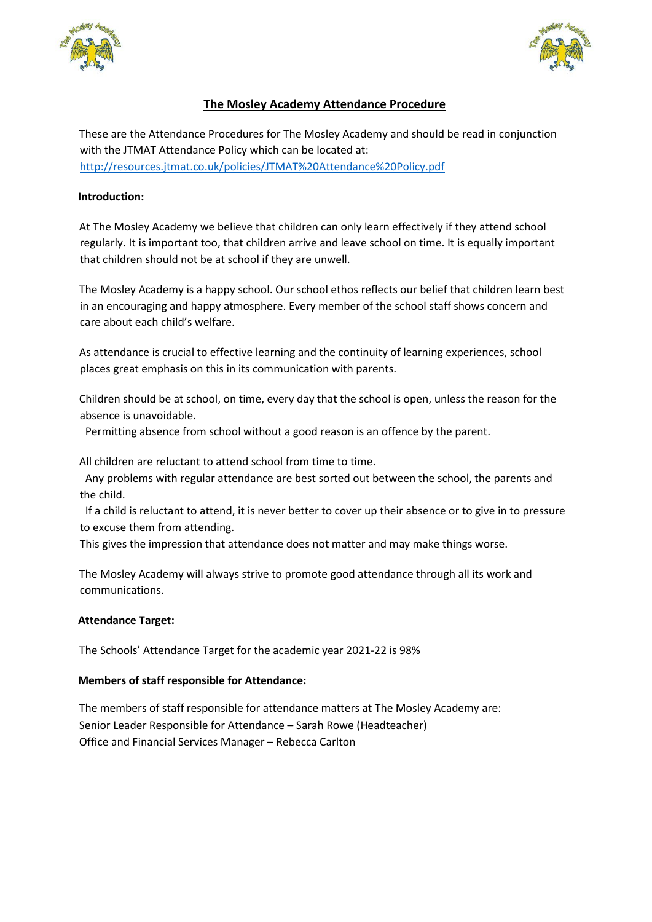



# **The Mosley Academy Attendance Procedure**

These are the Attendance Procedures for The Mosley Academy and should be read in conjunction with the JTMAT Attendance Policy which can be located at: <http://resources.jtmat.co.uk/policies/JTMAT%20Attendance%20Policy.pdf>

# **Introduction:**

At The Mosley Academy we believe that children can only learn effectively if they attend school regularly. It is important too, that children arrive and leave school on time. It is equally important that children should not be at school if they are unwell.

The Mosley Academy is a happy school. Our school ethos reflects our belief that children learn best in an encouraging and happy atmosphere. Every member of the school staff shows concern and care about each child's welfare.

As attendance is crucial to effective learning and the continuity of learning experiences, school places great emphasis on this in its communication with parents.

Children should be at school, on time, every day that the school is open, unless the reason for the absence is unavoidable.

Permitting absence from school without a good reason is an offence by the parent.

All children are reluctant to attend school from time to time.

 Any problems with regular attendance are best sorted out between the school, the parents and the child.

 If a child is reluctant to attend, it is never better to cover up their absence or to give in to pressure to excuse them from attending.

This gives the impression that attendance does not matter and may make things worse.

The Mosley Academy will always strive to promote good attendance through all its work and communications.

# **Attendance Target:**

The Schools' Attendance Target for the academic year 2021-22 is 98%

# **Members of staff responsible for Attendance:**

The members of staff responsible for attendance matters at The Mosley Academy are: Senior Leader Responsible for Attendance – Sarah Rowe (Headteacher) Office and Financial Services Manager – Rebecca Carlton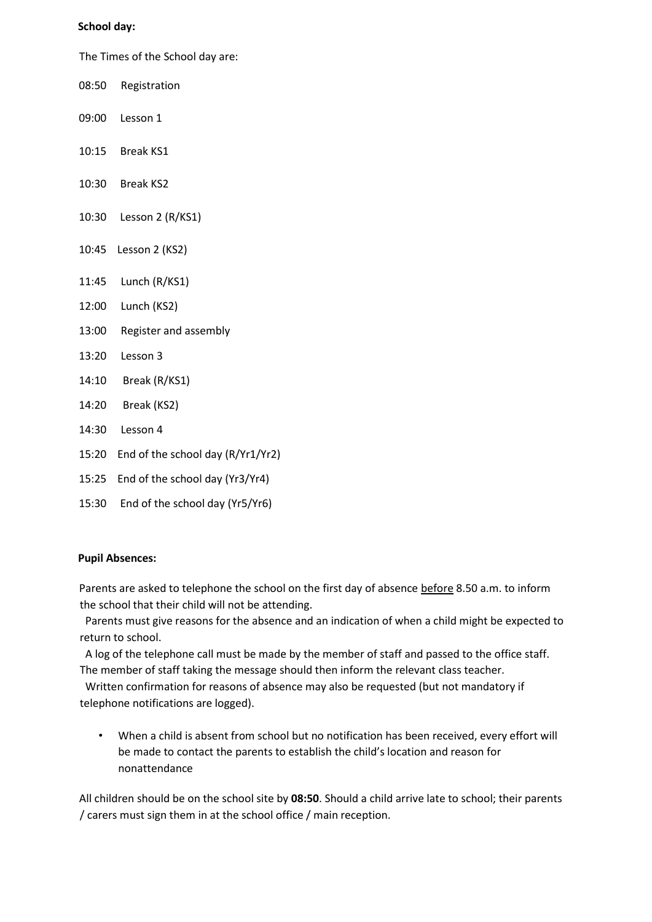#### **School day:**

The Times of the School day are:

- 08:50 Registration
- 09:00 Lesson 1
- 10:15 Break KS1
- 10:30 Break KS2
- 10:30 Lesson 2 (R/KS1)
- 10:45 Lesson 2 (KS2)
- 11:45 Lunch (R/KS1)
- 12:00 Lunch (KS2)
- 13:00 Register and assembly
- 13:20 Lesson 3
- 14:10 Break (R/KS1)
- 14:20 Break (KS2)
- 14:30 Lesson 4
- 15:20 End of the school day (R/Yr1/Yr2)
- 15:25 End of the school day (Yr3/Yr4)
- 15:30 End of the school day (Yr5/Yr6)

# **Pupil Absences:**

Parents are asked to telephone the school on the first day of absence before 8.50 a.m. to inform the school that their child will not be attending.

 Parents must give reasons for the absence and an indication of when a child might be expected to return to school.

 A log of the telephone call must be made by the member of staff and passed to the office staff. The member of staff taking the message should then inform the relevant class teacher.

 Written confirmation for reasons of absence may also be requested (but not mandatory if telephone notifications are logged).

• When a child is absent from school but no notification has been received, every effort will be made to contact the parents to establish the child's location and reason for nonattendance

All children should be on the school site by **08:50**. Should a child arrive late to school; their parents / carers must sign them in at the school office / main reception.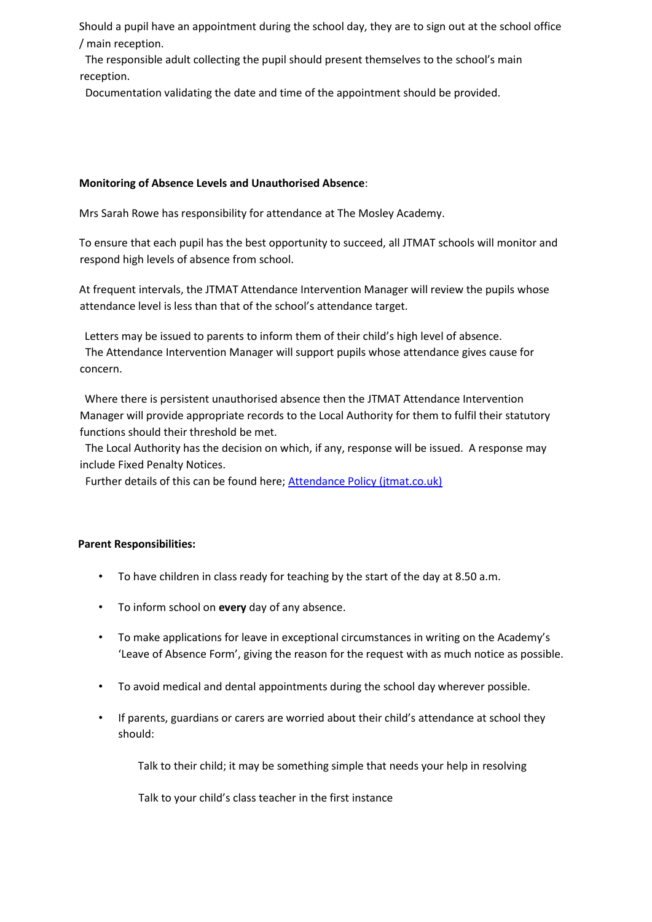Should a pupil have an appointment during the school day, they are to sign out at the school office / main reception.

 The responsible adult collecting the pupil should present themselves to the school's main reception.

Documentation validating the date and time of the appointment should be provided.

# **Monitoring of Absence Levels and Unauthorised Absence**:

Mrs Sarah Rowe has responsibility for attendance at The Mosley Academy.

To ensure that each pupil has the best opportunity to succeed, all JTMAT schools will monitor and respond high levels of absence from school.

At frequent intervals, the JTMAT Attendance Intervention Manager will review the pupils whose attendance level is less than that of the school's attendance target.

 Letters may be issued to parents to inform them of their child's high level of absence. The Attendance Intervention Manager will support pupils whose attendance gives cause for concern.

 Where there is persistent unauthorised absence then the JTMAT Attendance Intervention Manager will provide appropriate records to the Local Authority for them to fulfil their statutory functions should their threshold be met.

 The Local Authority has the decision on which, if any, response will be issued. A response may include Fixed Penalty Notices.

Further details of this can be found here; [Attendance Policy \(jtmat.co.uk\)](http://resources.jtmat.co.uk/policies/JTMAT%20Attendance%20Policy.pdf)

# **Parent Responsibilities:**

- To have children in class ready for teaching by the start of the day at 8.50 a.m.
- To inform school on **every** day of any absence.
- To make applications for leave in exceptional circumstances in writing on the Academy's 'Leave of Absence Form', giving the reason for the request with as much notice as possible.
- To avoid medical and dental appointments during the school day wherever possible.
- If parents, guardians or carers are worried about their child's attendance at school they should:

Talk to their child; it may be something simple that needs your help in resolving

Talk to your child's class teacher in the first instance